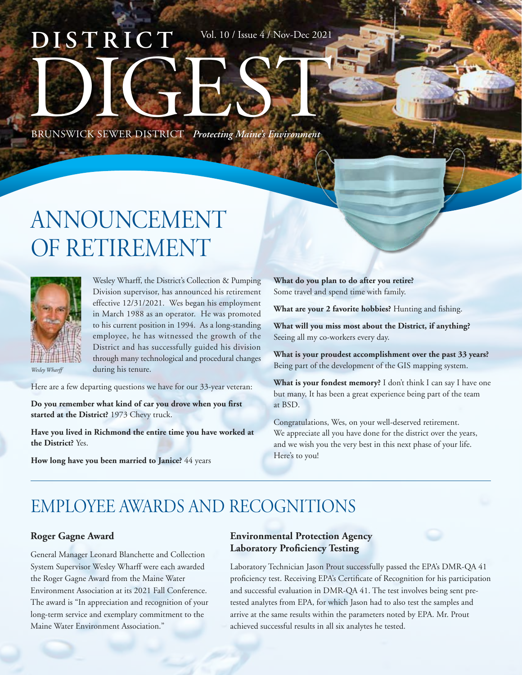# **DISTRICT** BRUNSWICK SEWER DISTRICT *Protecting Maine's Environment* Vol. 10 / Issue 4 / Nov-Dec 2021

## ANNOUNCEMENT OF RETIREMENT



Wesley Wharff, the District's Collection & Pumping Division supervisor, has announced his retirement effective 12/31/2021. Wes began his employment in March 1988 as an operator. He was promoted to his current position in 1994. As a long-standing employee, he has witnessed the growth of the District and has successfully guided his division through many technological and procedural changes during his tenure.

Here are a few departing questions we have for our 33-year veteran:

**Do you remember what kind of car you drove when you first started at the District?** 1973 Chevy truck.

**Have you lived in Richmond the entire time you have worked at the District?** Yes.

**How long have you been married to Janice?** 44 years

**What do you plan to do after you retire?** Some travel and spend time with family.

**What are your 2 favorite hobbies?** Hunting and fishing.

**What will you miss most about the District, if anything?** Seeing all my co-workers every day.

**What is your proudest accomplishment over the past 33 years?** Being part of the development of the GIS mapping system.

**What is your fondest memory?** I don't think I can say I have one but many, It has been a great experience being part of the team at BSD.

Congratulations, Wes, on your well-deserved retirement. We appreciate all you have done for the district over the years, and we wish you the very best in this next phase of your life. Here's to you!

### EMPLOYEE AWARDS AND RECOGNITIONS

### **Roger Gagne Award**

General Manager Leonard Blanchette and Collection System Supervisor Wesley Wharff were each awarded the Roger Gagne Award from the Maine Water Environment Association at its 2021 Fall Conference. The award is "In appreciation and recognition of your long-term service and exemplary commitment to the Maine Water Environment Association."

### **Environmental Protection Agency Laboratory Proficiency Testing**

Laboratory Technician Jason Prout successfully passed the EPA's DMR-QA 41 proficiency test. Receiving EPA's Certificate of Recognition for his participation and successful evaluation in DMR-QA 41. The test involves being sent pretested analytes from EPA, for which Jason had to also test the samples and arrive at the same results within the parameters noted by EPA. Mr. Prout achieved successful results in all six analytes he tested.